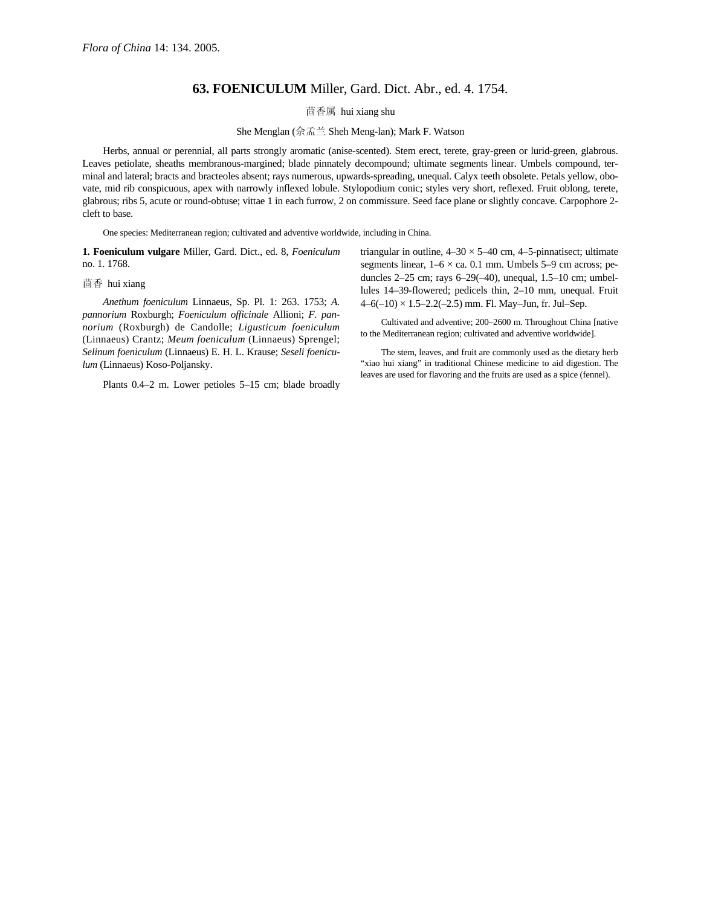## **63. FOENICULUM** Miller, Gard. Dict. Abr., ed. 4. 1754.

茴香属 hui xiang shu

She Menglan (佘孟兰 Sheh Meng-lan); Mark F. Watson

Herbs, annual or perennial, all parts strongly aromatic (anise-scented). Stem erect, terete, gray-green or lurid-green, glabrous. Leaves petiolate, sheaths membranous-margined; blade pinnately decompound; ultimate segments linear. Umbels compound, terminal and lateral; bracts and bracteoles absent; rays numerous, upwards-spreading, unequal. Calyx teeth obsolete. Petals yellow, obovate, mid rib conspicuous, apex with narrowly inflexed lobule. Stylopodium conic; styles very short, reflexed. Fruit oblong, terete, glabrous; ribs 5, acute or round-obtuse; vittae 1 in each furrow, 2 on commissure. Seed face plane or slightly concave. Carpophore 2 cleft to base.

One species: Mediterranean region; cultivated and adventive worldwide, including in China.

**1. Foeniculum vulgare** Miller, Gard. Dict., ed. 8, *Foeniculum* no. 1. 1768.

## 茴香 hui xiang

*Anethum foeniculum* Linnaeus, Sp. Pl. 1: 263. 1753; *A. pannorium* Roxburgh; *Foeniculum officinale* Allioni; *F. pannorium* (Roxburgh) de Candolle; *Ligusticum foeniculum*  (Linnaeus) Crantz; *Meum foeniculum* (Linnaeus) Sprengel; *Selinum foeniculum* (Linnaeus) E. H. L. Krause; *Seseli foeniculum* (Linnaeus) Koso-Poljansky.

Plants 0.4–2 m. Lower petioles 5–15 cm; blade broadly

triangular in outline,  $4-30 \times 5-40$  cm,  $4-5$ -pinnatisect; ultimate segments linear,  $1-6 \times ca$ . 0.1 mm. Umbels 5-9 cm across; peduncles 2–25 cm; rays 6–29(–40), unequal, 1.5–10 cm; umbellules 14–39-flowered; pedicels thin, 2–10 mm, unequal. Fruit  $4-6(-10) \times 1.5-2.2(-2.5)$  mm. Fl. May-Jun, fr. Jul-Sep.

Cultivated and adventive; 200–2600 m. Throughout China [native to the Mediterranean region; cultivated and adventive worldwide].

The stem, leaves, and fruit are commonly used as the dietary herb "xiao hui xiang" in traditional Chinese medicine to aid digestion. The leaves are used for flavoring and the fruits are used as a spice (fennel).